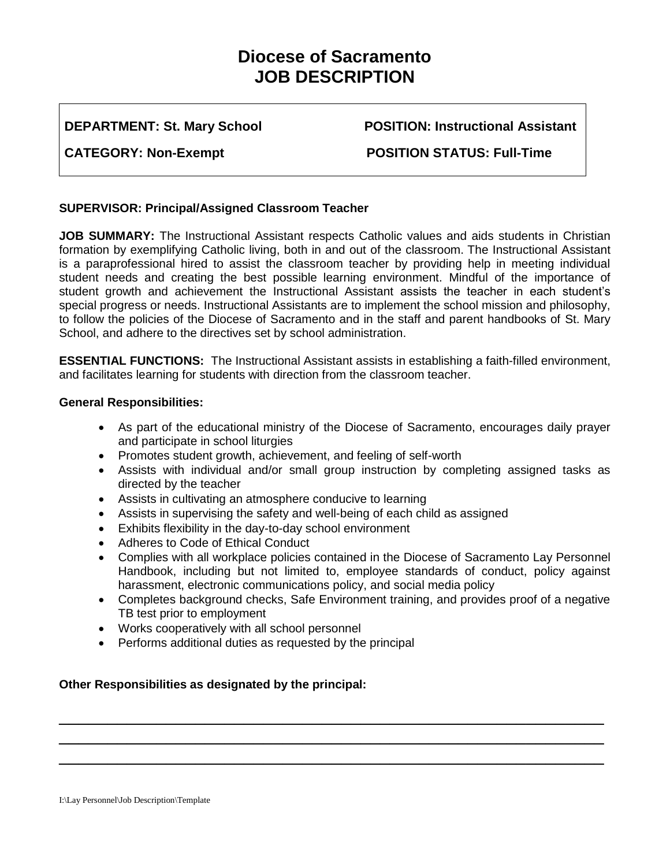# **Diocese of Sacramento JOB DESCRIPTION**

**DEPARTMENT: St. Mary School POSITION: Instructional Assistant** 

CATEGORY: Non-Exempt **POSITION STATUS: Full-Time** 

## **SUPERVISOR: Principal/Assigned Classroom Teacher**

**JOB SUMMARY:** The Instructional Assistant respects Catholic values and aids students in Christian formation by exemplifying Catholic living, both in and out of the classroom. The Instructional Assistant is a paraprofessional hired to assist the classroom teacher by providing help in meeting individual student needs and creating the best possible learning environment. Mindful of the importance of student growth and achievement the Instructional Assistant assists the teacher in each student's special progress or needs. Instructional Assistants are to implement the school mission and philosophy, to follow the policies of the Diocese of Sacramento and in the staff and parent handbooks of St. Mary School, and adhere to the directives set by school administration.

**ESSENTIAL FUNCTIONS:** The Instructional Assistant assists in establishing a faith-filled environment, and facilitates learning for students with direction from the classroom teacher.

## **General Responsibilities:**

- As part of the educational ministry of the Diocese of Sacramento, encourages daily prayer and participate in school liturgies
- Promotes student growth, achievement, and feeling of self-worth
- Assists with individual and/or small group instruction by completing assigned tasks as directed by the teacher
- Assists in cultivating an atmosphere conducive to learning
- Assists in supervising the safety and well-being of each child as assigned
- Exhibits flexibility in the day-to-day school environment
- Adheres to Code of Ethical Conduct
- Complies with all workplace policies contained in the Diocese of Sacramento Lay Personnel Handbook, including but not limited to, employee standards of conduct, policy against harassment, electronic communications policy, and social media policy
- Completes background checks, Safe Environment training, and provides proof of a negative TB test prior to employment

\_\_\_\_\_\_\_\_\_\_\_\_\_\_\_\_\_\_\_\_\_\_\_\_\_\_\_\_\_\_\_\_\_\_\_\_\_\_\_\_\_\_\_\_\_\_\_\_\_\_\_\_\_\_\_\_ \_\_\_\_\_\_\_\_\_\_\_\_\_\_\_\_\_\_\_\_\_\_\_\_\_\_\_\_\_\_\_\_\_\_\_\_\_\_\_\_\_\_\_\_\_\_\_\_\_\_\_\_\_\_\_\_ \_\_\_\_\_\_\_\_\_\_\_\_\_\_\_\_\_\_\_\_\_\_\_\_\_\_\_\_\_\_\_\_\_\_\_\_\_\_\_\_\_\_\_\_\_\_\_\_\_\_\_\_\_\_\_\_

- Works cooperatively with all school personnel
- Performs additional duties as requested by the principal

## **Other Responsibilities as designated by the principal:**